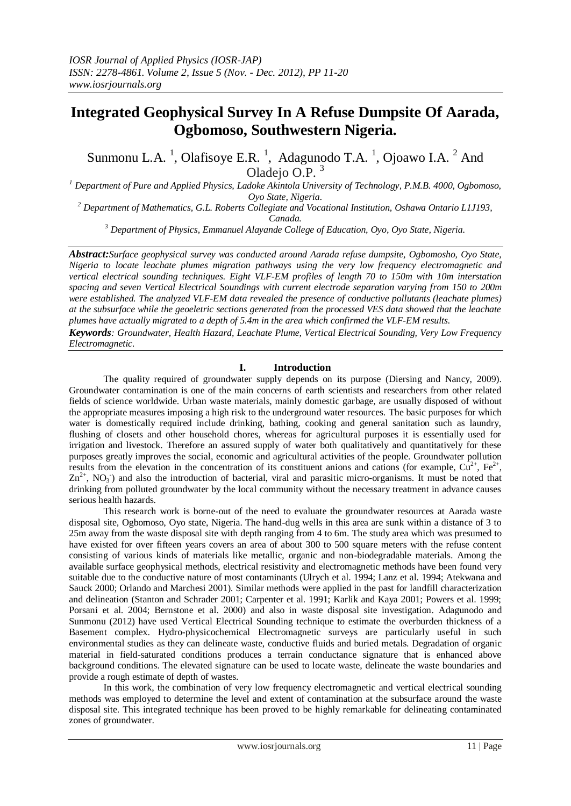# **Integrated Geophysical Survey In A Refuse Dumpsite Of Aarada, Ogbomoso, Southwestern Nigeria.**

Sunmonu L.A.<sup>1</sup>, Olafisoye E.R.<sup>1</sup>, Adagunodo T.A.<sup>1</sup>, Ojoawo I.A.<sup>2</sup> And Oladejo O.P. <sup>3</sup>

*<sup>1</sup> Department of Pure and Applied Physics, Ladoke Akintola University of Technology, P.M.B. 4000, Ogbomoso, Oyo State, Nigeria.*

*<sup>2</sup> Department of Mathematics, G.L. Roberts Collegiate and Vocational Institution, Oshawa Ontario L1J193, Canada.*

*<sup>3</sup> Department of Physics, Emmanuel Alayande College of Education, Oyo, Oyo State, Nigeria.*

*Abstract:Surface geophysical survey was conducted around Aarada refuse dumpsite, Ogbomosho, Oyo State, Nigeria to locate leachate plumes migration pathways using the very low frequency electromagnetic and vertical electrical sounding techniques. Eight VLF-EM profiles of length 70 to 150m with 10m interstation spacing and seven Vertical Electrical Soundings with current electrode separation varying from 150 to 200m were established. The analyzed VLF-EM data revealed the presence of conductive pollutants (leachate plumes) at the subsurface while the geoeletric sections generated from the processed VES data showed that the leachate plumes have actually migrated to a depth of 5.4m in the area which confirmed the VLF-EM results.*

*Keywords: Groundwater, Health Hazard, Leachate Plume, Vertical Electrical Sounding, Very Low Frequency Electromagnetic.*

# **I. Introduction**

The quality required of groundwater supply depends on its purpose [\(Diersing and Nancy, 2009\).](javascript:;)  Groundwater contamination is one of the main concerns of earth scientists and researchers from other related fields of science worldwide. Urban waste materials, mainly domestic garbage, are usually disposed of without the appropriate measures imposing a high risk to the underground water resources. The basic purposes for which water is domestically required include drinking, bathing, cooking and general sanitation such as laundry, flushing of closets and other household chores, whereas for agricultural purposes it is essentially used for irrigation and livestock. Therefore an assured supply of water both qualitatively and quantitatively for these purposes greatly improves the social, economic and agricultural activities of the people. Groundwater pollution results from the elevation in the concentration of its constituent anions and cations (for example,  $Cu^{2+}$ , Fe<sup>2+</sup>,  $\text{Zn}^{2+}$ , NO<sub>3</sub>) and also the introduction of bacterial, viral and parasitic micro-organisms. It must be noted that drinking from polluted groundwater by the local community without the necessary treatment in advance causes serious health hazards.

This research work is borne-out of the need to evaluate the groundwater resources at Aarada waste disposal site, Ogbomoso, Oyo state, Nigeria. The hand-dug wells in this area are sunk within a distance of 3 to 25m away from the waste disposal site with depth ranging from 4 to 6m. The study area which was presumed to have existed for over fifteen years covers an area of about 300 to 500 square meters with the refuse content consisting of various kinds of materials like metallic, organic and non-biodegradable materials. Among the available surface geophysical methods, electrical resistivity and electromagnetic methods have been found very suitable due to the conductive nature of most contaminants (Ulrych et al. 1994; Lanz et al. 1994; Atekwana and Sauck 2000; Orlando and Marchesi 2001). Similar methods were applied in the past for landfill characterization and delineation (Stanton and Schrader 2001; Carpenter et al. 1991; Karlik and Kaya 2001; Powers et al. 1999; Porsani et al. 2004; Bernstone et al. 2000) and also in waste disposal site investigation. Adagunodo and Sunmonu (2012) have used Vertical Electrical Sounding technique to estimate the overburden thickness of a Basement complex. Hydro-physicochemical Electromagnetic surveys are particularly useful in such environmental studies as they can delineate waste, conductive fluids and buried metals. Degradation of organic material in field-saturated conditions produces a terrain conductance signature that is enhanced above background conditions. The elevated signature can be used to locate waste, delineate the waste boundaries and provide a rough estimate of depth of wastes.

In this work, the combination of very low frequency electromagnetic and vertical electrical sounding methods was employed to determine the level and extent of contamination at the subsurface around the waste disposal site. This integrated technique has been proved to be highly remarkable for delineating contaminated zones of groundwater.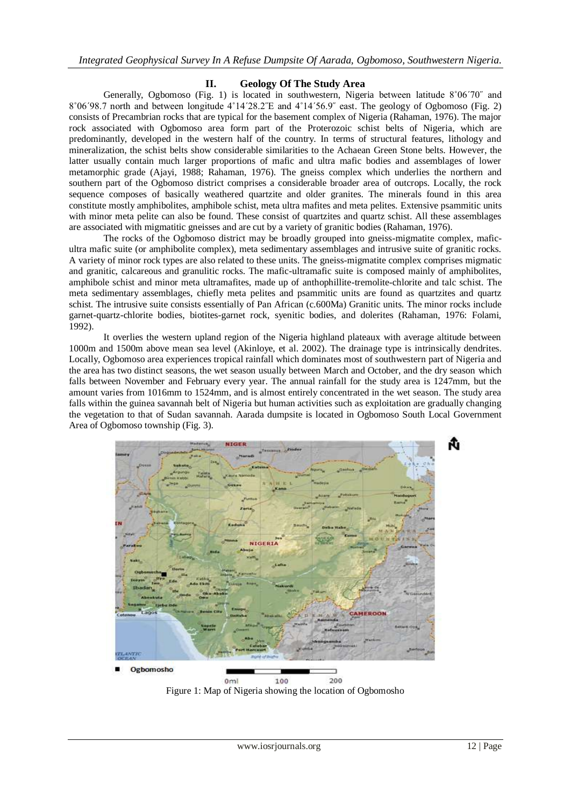#### **II. Geology Of The Study Area**

Generally, Ogbomoso (Fig. 1) is located in southwestern, Nigeria between latitude 8˚06΄70˝ and 8˚06΄98.7 north and between longitude 4˚14΄28.2˝E and 4˚14΄56.9˝ east. The geology of Ogbomoso (Fig. 2) consists of Precambrian rocks that are typical for the basement complex of Nigeria (Rahaman, 1976). The major rock associated with Ogbomoso area form part of the Proterozoic schist belts of Nigeria, which are predominantly, developed in the western half of the country. In terms of structural features, lithology and mineralization, the schist belts show considerable similarities to the Achaean Green Stone belts. However, the latter usually contain much larger proportions of mafic and ultra mafic bodies and assemblages of lower metamorphic grade (Ajayi, 1988; Rahaman, 1976). The gneiss complex which underlies the northern and southern part of the Ogbomoso district comprises a considerable broader area of outcrops. Locally, the rock sequence composes of basically weathered quartzite and older granites. The minerals found in this area constitute mostly amphibolites, amphibole schist, meta ultra mafites and meta pelites. Extensive psammitic units with minor meta pelite can also be found. These consist of quartzites and quartz schist. All these assemblages are associated with migmatitic gneisses and are cut by a variety of granitic bodies (Rahaman, 1976).

The rocks of the Ogbomoso district may be broadly grouped into gneiss-migmatite complex, maficultra mafic suite (or amphibolite complex), meta sedimentary assemblages and intrusive suite of granitic rocks. A variety of minor rock types are also related to these units. The gneiss-migmatite complex comprises migmatic and granitic, calcareous and granulitic rocks. The mafic-ultramafic suite is composed mainly of amphibolites, amphibole schist and minor meta ultramafites, made up of anthophillite-tremolite-chlorite and talc schist. The meta sedimentary assemblages, chiefly meta pelites and psammitic units are found as quartzites and quartz schist. The intrusive suite consists essentially of Pan African (c.600Ma) Granitic units. The minor rocks include garnet-quartz-chlorite bodies, biotites-garnet rock, syenitic bodies, and dolerites (Rahaman, 1976: Folami, 1992).

It overlies the western upland region of the Nigeria highland plateaux with average altitude between 1000m and 1500m above mean sea level (Akinloye, et al. 2002). The drainage type is intrinsically dendrites. Locally, Ogbomoso area experiences tropical rainfall which dominates most of southwestern part of Nigeria and the area has two distinct seasons, the wet season usually between March and October, and the dry season which falls between November and February every year. The annual rainfall for the study area is 1247mm, but the amount varies from 1016mm to 1524mm, and is almost entirely concentrated in the wet season. The study area falls within the guinea savannah belt of Nigeria but human activities such as exploitation are gradually changing the vegetation to that of Sudan savannah. Aarada dumpsite is located in Ogbomoso South Local Government Area of Ogbomoso township (Fig. 3).



Figure 1: Map of Nigeria showing the location of Ogbomosho

Ñ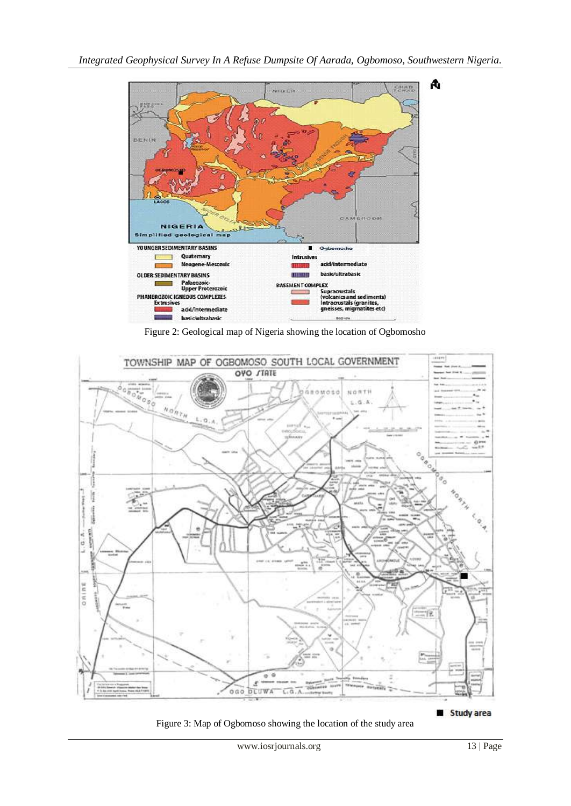

Figure 2: Geological map of Nigeria showing the location of Ogbomosho



Figure 3: Map of Ogbomoso showing the location of the study area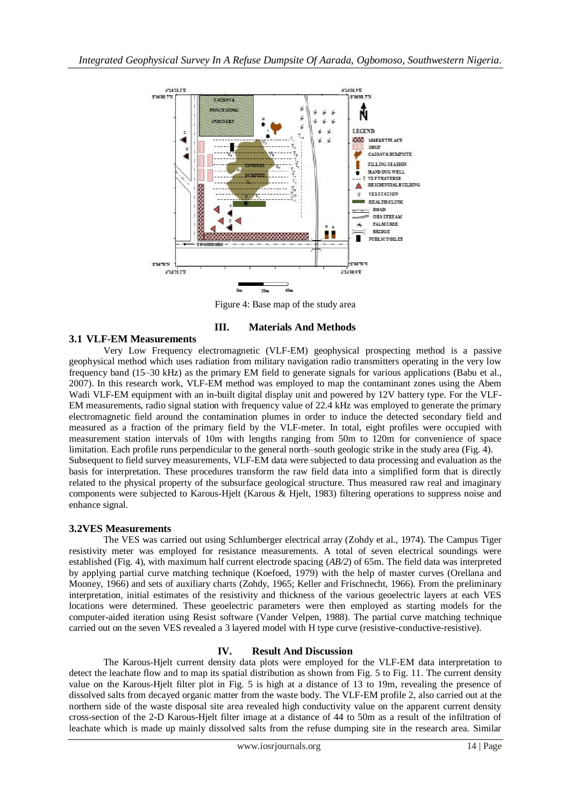

Figure 4: Base map of the study area

## **III. Materials And Methods**

# **3.1 VLF-EM Measurements**

Very Low Frequency electromagnetic (VLF-EM) geophysical prospecting method is a passive geophysical method which uses radiation from military navigation radio transmitters operating in the very low frequency band (15–30 kHz) as the primary EM field to generate signals for various applications (Babu et al., 2007). In this research work, VLF-EM method was employed to map the contaminant zones using the Abem Wadi VLF-EM equipment with an in-built digital display unit and powered by 12V battery type. For the VLF-EM measurements, radio signal station with frequency value of 22.4 kHz was employed to generate the primary electromagnetic field around the contamination plumes in order to induce the detected secondary field and measured as a fraction of the primary field by the VLF-meter. In total, eight profiles were occupied with measurement station intervals of 10m with lengths ranging from 50m to 120m for convenience of space limitation. Each profile runs perpendicular to the general north–south geologic strike in the study area (Fig. 4). Subsequent to field survey measurements, VLF-EM data were subjected to data processing and evaluation as the basis for interpretation. These procedures transform the raw field data into a simplified form that is directly related to the physical property of the subsurface geological structure. Thus measured raw real and imaginary components were subjected to Karous-Hjelt (Karous & Hjelt, 1983) filtering operations to suppress noise and enhance signal.

## **3.2VES Measurements**

The VES was carried out using Schlumberger electrical array (Zohdy et al., 1974). The Campus Tiger resistivity meter was employed for resistance measurements. A total of seven electrical soundings were established (Fig. 4), with maximum half current electrode spacing (*AB/2*) of 65m. The field data was interpreted by applying partial curve matching technique (Koefoed, 1979) with the help of master curves (Orellana and Mooney, 1966) and sets of auxiliary charts (Zohdy, 1965; Keller and Frischnecht, 1966). From the preliminary interpretation, initial estimates of the resistivity and thickness of the various geoelectric layers at each VES locations were determined. These geoelectric parameters were then employed as starting models for the computer-aided iteration using Resist software (Vander Velpen, 1988). The partial curve matching technique carried out on the seven VES revealed a 3 layered model with H type curve (resistive-conductive-resistive).

## **IV. Result And Discussion**

The Karous-Hjelt current density data plots were employed for the VLF-EM data interpretation to detect the leachate flow and to map its spatial distribution as shown from Fig. 5 to Fig. 11. The current density value on the Karous-Hjelt filter plot in Fig. 5 is high at a distance of 13 to 19m, revealing the presence of dissolved salts from decayed organic matter from the waste body. The VLF-EM profile 2, also carried out at the northern side of the waste disposal site area revealed high conductivity value on the apparent current density cross-section of the 2-D Karous-Hjelt filter image at a distance of 44 to 50m as a result of the infiltration of leachate which is made up mainly dissolved salts from the refuse dumping site in the research area. Similar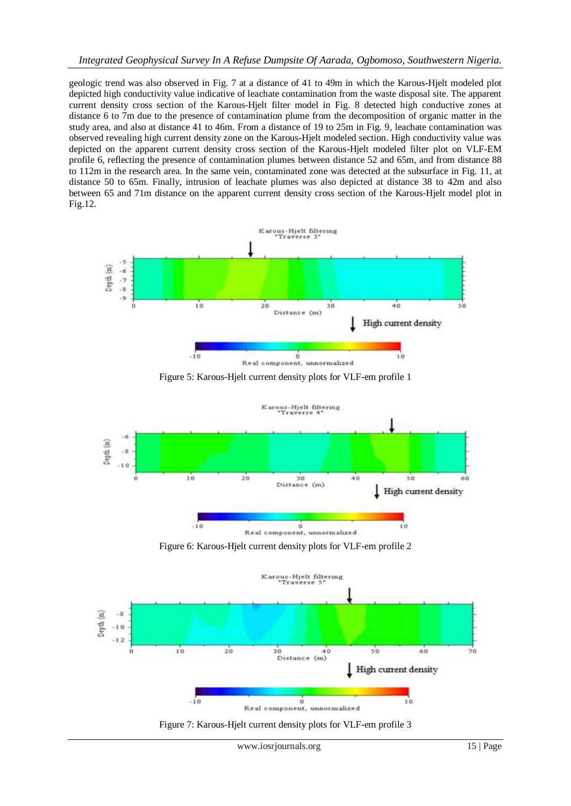## *Integrated Geophysical Survey In A Refuse Dumpsite Of Aarada, Ogbomoso, Southwestern Nigeria.*

geologic trend was also observed in Fig. 7 at a distance of 41 to 49m in which the Karous-Hjelt modeled plot depicted high conductivity value indicative of leachate contamination from the waste disposal site. The apparent current density cross section of the Karous-Hjelt filter model in Fig. 8 detected high conductive zones at distance 6 to 7m due to the presence of contamination plume from the decomposition of organic matter in the study area, and also at distance 41 to 46m. From a distance of 19 to 25m in Fig. 9, leachate contamination was observed revealing high current density zone on the Karous-Hjelt modeled section. High conductivity value was depicted on the apparent current density cross section of the Karous-Hjelt modeled filter plot on VLF-EM profile 6, reflecting the presence of contamination plumes between distance 52 and 65m, and from distance 88 to 112m in the research area. In the same vein, contaminated zone was detected at the subsurface in Fig. 11, at distance 50 to 65m. Finally, intrusion of leachate plumes was also depicted at distance 38 to 42m and also between 65 and 71m distance on the apparent current density cross section of the Karous-Hjelt model plot in Fig.12.











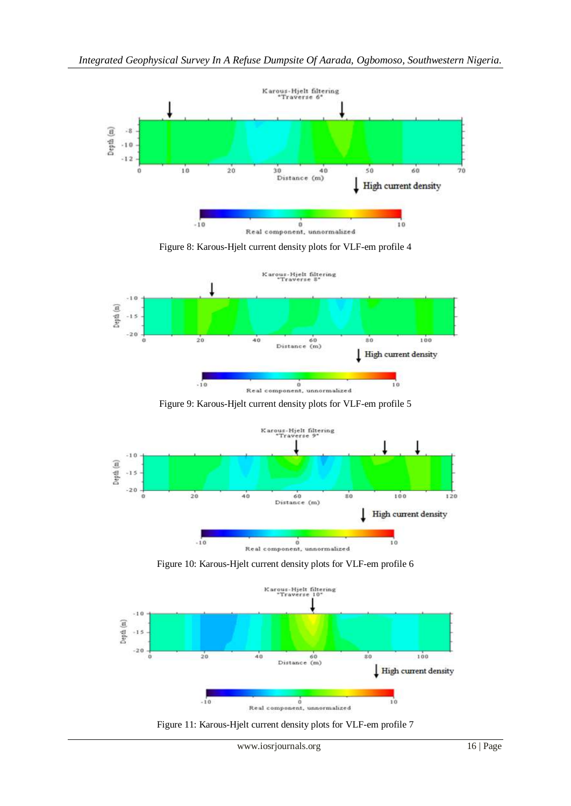





Figure 9: Karous-Hjelt current density plots for VLF-em profile 5



Figure 10: Karous-Hjelt current density plots for VLF-em profile 6



Figure 11: Karous-Hjelt current density plots for VLF-em profile 7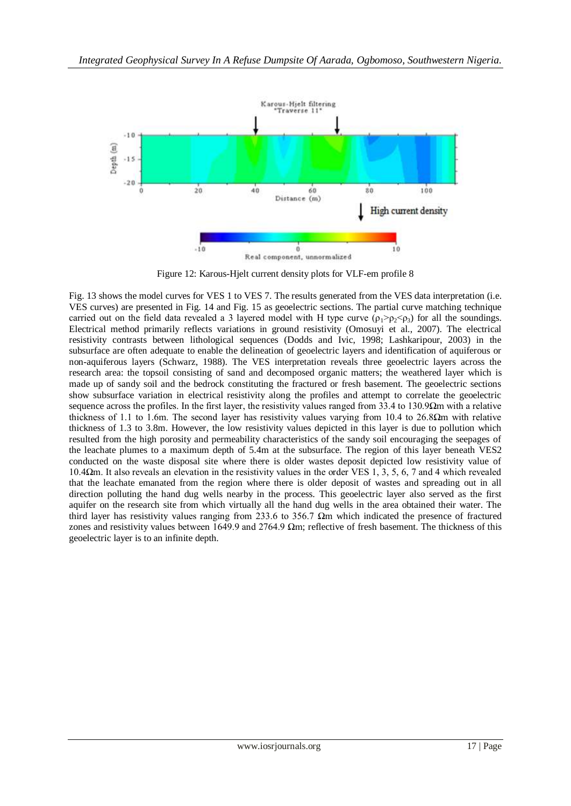

Figure 12: Karous-Hjelt current density plots for VLF-em profile 8

Fig. 13 shows the model curves for VES 1 to VES 7. The results generated from the VES data interpretation (i.e. VES curves) are presented in Fig. 14 and Fig. 15 as geoelectric sections. The partial curve matching technique carried out on the field data revealed a 3 layered model with H type curve  $(\rho_1 > \rho_2 < \rho_3)$  for all the soundings. Electrical method primarily reflects variations in ground resistivity (Omosuyi et al., 2007). The electrical resistivity contrasts between lithological sequences (Dodds and Ivic, 1998; Lashkaripour, 2003) in the subsurface are often adequate to enable the delineation of geoelectric layers and identification of aquiferous or non-aquiferous layers (Schwarz, 1988). The VES interpretation reveals three geoelectric layers across the research area: the topsoil consisting of sand and decomposed organic matters; the weathered layer which is made up of sandy soil and the bedrock constituting the fractured or fresh basement. The geoelectric sections show subsurface variation in electrical resistivity along the profiles and attempt to correlate the geoelectric sequence across the profiles. In the first layer, the resistivity values ranged from 33.4 to 130.9Ωm with a relative thickness of 1.1 to 1.6m. The second layer has resistivity values varying from 10.4 to 26.8Ωm with relative thickness of 1.3 to 3.8m. However, the low resistivity values depicted in this layer is due to pollution which resulted from the high porosity and permeability characteristics of the sandy soil encouraging the seepages of the leachate plumes to a maximum depth of 5.4m at the subsurface. The region of this layer beneath VES2 conducted on the waste disposal site where there is older wastes deposit depicted low resistivity value of 10.4Ωm. It also reveals an elevation in the resistivity values in the order VES 1, 3, 5, 6, 7 and 4 which revealed that the leachate emanated from the region where there is older deposit of wastes and spreading out in all direction polluting the hand dug wells nearby in the process. This geoelectric layer also served as the first aquifer on the research site from which virtually all the hand dug wells in the area obtained their water. The third layer has resistivity values ranging from 233.6 to 356.7 Ωm which indicated the presence of fractured zones and resistivity values between 1649.9 and 2764.9  $\Omega$ m; reflective of fresh basement. The thickness of this geoelectric layer is to an infinite depth.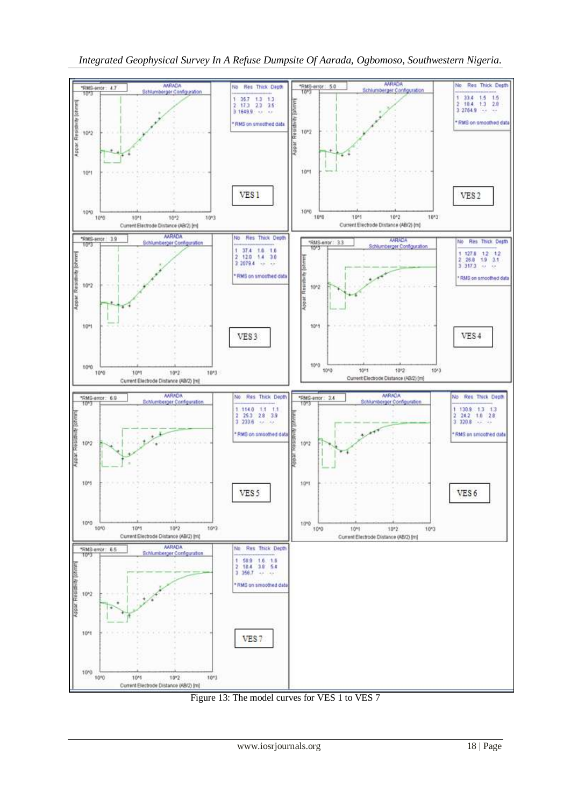



Figure 13: The model curves for VES 1 to VES 7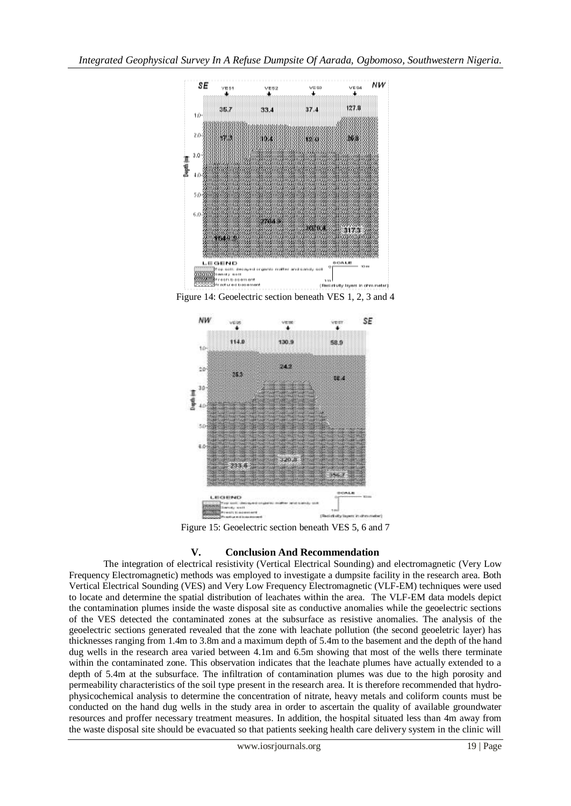![](_page_8_Figure_1.jpeg)

Figure 14: Geoelectric section beneath VES 1, 2, 3 and 4

![](_page_8_Figure_3.jpeg)

Figure 15: Geoelectric section beneath VES 5, 6 and 7

## **V. Conclusion And Recommendation**

The integration of electrical resistivity (Vertical Electrical Sounding) and electromagnetic (Very Low Frequency Electromagnetic) methods was employed to investigate a dumpsite facility in the research area. Both Vertical Electrical Sounding (VES) and Very Low Frequency Electromagnetic (VLF-EM) techniques were used to locate and determine the spatial distribution of leachates within the area. The VLF-EM data models depict the contamination plumes inside the waste disposal site as conductive anomalies while the geoelectric sections of the VES detected the contaminated zones at the subsurface as resistive anomalies. The analysis of the geoelectric sections generated revealed that the zone with leachate pollution (the second geoeletric layer) has thicknesses ranging from 1.4m to 3.8m and a maximum depth of 5.4m to the basement and the depth of the hand dug wells in the research area varied between 4.1m and 6.5m showing that most of the wells there terminate within the contaminated zone. This observation indicates that the leachate plumes have actually extended to a depth of 5.4m at the subsurface. The infiltration of contamination plumes was due to the high porosity and permeability characteristics of the soil type present in the research area. It is therefore recommended that hydrophysicochemical analysis to determine the concentration of nitrate, heavy metals and coliform counts must be conducted on the hand dug wells in the study area in order to ascertain the quality of available groundwater resources and proffer necessary treatment measures. In addition, the hospital situated less than 4m away from the waste disposal site should be evacuated so that patients seeking health care delivery system in the clinic will